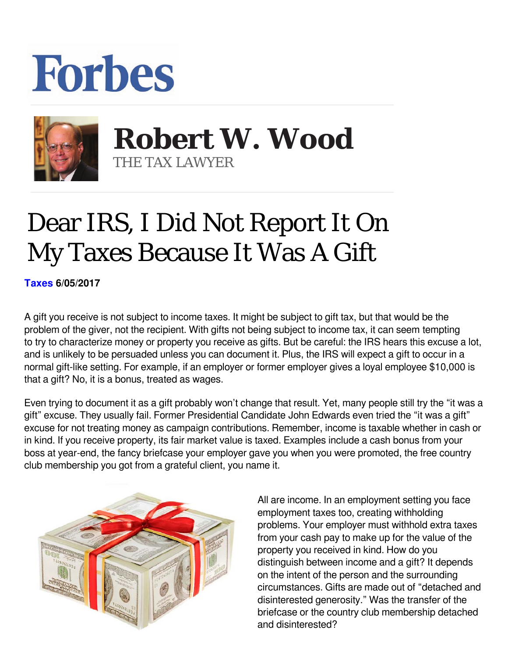## **Forbes**



 **Robert W. Wood** THE TAX LAWYER

## Dear IRS, I Did Not Report It On My Taxes Because It Was A Gift

**[Taxes](https://www.forbes.com/taxes) 6/05/2017** 

A gift you receive is not subject to income taxes. It might be subject to gift tax, but that would be the problem of the giver, not the recipient. With gifts not being subject to income tax, it can seem tempting to try to characterize money or property you receive as gifts. But be careful: the IRS hears this excuse a lot, and is unlikely to be persuaded unless you can document it. Plus, the IRS will expect a gift to occur in a normal gift-like setting. For example, if an employer or former employer gives a loyal employee \$10,000 is that a gift? No, it is a bonus, treated as wages.

Even trying to document it as a gift probably won't change that result. Yet, many people still try the "it was a gift" excuse. They usually fail. Former Presidential Candidate John Edwards even tried the "it was a gift" excuse for not treating money as campaign contributions. Remember, income is taxable whether in cash or in kind. If you receive property, its fair market value is taxed. Examples include a cash bonus from your boss at year-end, the fancy briefcase your employer gave you when you were promoted, the free country club membership you got from a grateful client, you name it.



All are income. In an employment setting you face employment taxes too, creating withholding problems. Your employer must withhold extra taxes from your cash pay to make up for the value of the property you received in kind. How do you distinguish between income and a gift? It depends on the intent of the person and the surrounding circumstances. Gifts are made out of "detached and disinterested generosity." Was the transfer of the briefcase or the country club membership detached and disinterested?